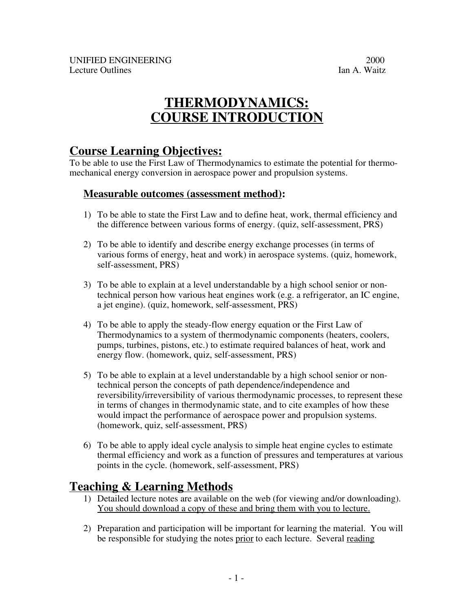# **THERMODYNAMICS: COURSE INTRODUCTION**

## **Course Learning Objectives:**

To be able to use the First Law of Thermodynamics to estimate the potential for thermomechanical energy conversion in aerospace power and propulsion systems.

### **Measurable outcomes (assessment method) :**

- 1) To be able to state the First Law and to define heat, work, thermal efficiency and the difference between various forms of energy. (quiz, self-assessment, PRS)
- 2) To be able to identify and describe energy exchange processes (in terms of various forms of energy, heat and work) in aerospace systems. (quiz, homework, self-assessment, PRS)
- 3) To be able to explain at a level understandable by a high school senior or nontechnical person how various heat engines work (e.g. a refrigerator, an IC engine, a jet engine). (quiz, homework, self-assessment, PRS)
- 4) To be able to apply the steady-flow energy equation or the First Law of Thermodynamics to a system of thermodynamic components (heaters, coolers, pumps, turbines, pistons, etc.) to estimate required balances of heat, work and energy flow. (homework, quiz, self-assessment, PRS)
- 5) To be able to explain at a level understandable by a high school senior or nontechnical person the concepts of path dependence/independence and reversibility/irreversibility of various thermodynamic processes, to represent these in terms of changes in thermodynamic state, and to cite examples of how these would impact the performance of aerospace power and propulsion systems. (homework, quiz, self-assessment, PRS)
- 6) To be able to apply ideal cycle analysis to simple heat engine cycles to estimate thermal efficiency and work as a function of pressures and temperatures at various points in the cycle. (homework, self-assessment, PRS)

## **Teaching & Learning Methods**

- 1) Detailed lecture notes are available on the web (for viewing and/or downloading). You should download a copy of these and bring them with you to lecture.
- 2) Preparation and participation will be important for learning the material. You will be responsible for studying the notes prior to each lecture. Several reading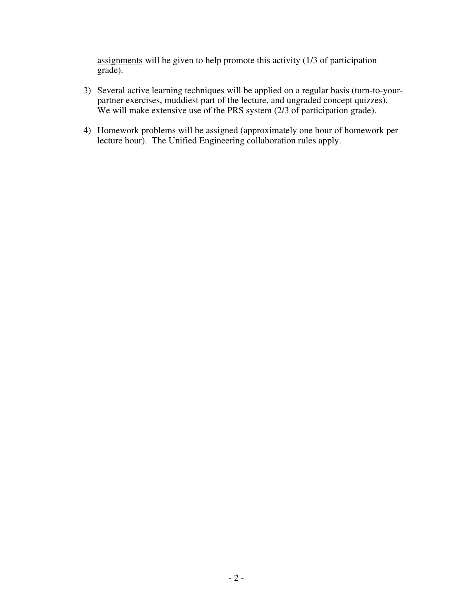assignments will be given to help promote this activity (1/3 of participation grade).

- 3) Several active learning techniques will be applied on a regular basis (turn-to-yourpartner exercises, muddiest part of the lecture, and ungraded concept quizzes). We will make extensive use of the PRS system (2/3 of participation grade).
- 4) Homework problems will be assigned (approximately one hour of homework per lecture hour). The Unified Engineering collaboration rules apply.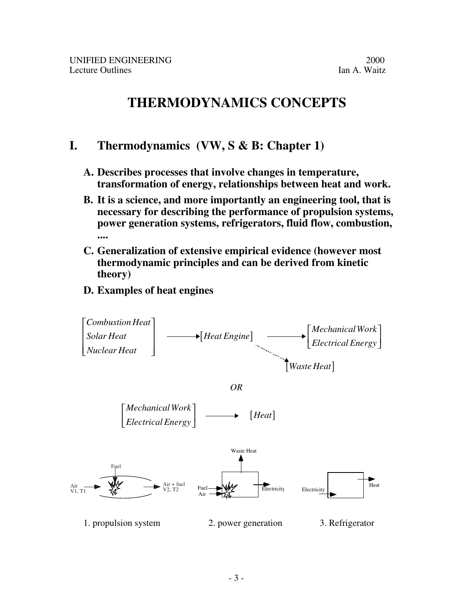# **THERMODYNAMICS CONCEPTS**

## **I. Thermodynamics (VW, S & B: Chapter 1)**

- **A. Describes processes that involve changes in temperature, transformation of energy, relationships between heat and work.**
- **B. It is a science, and more importantly an engineering tool, that is necessary for describing the performance of propulsion systems, power generation systems, refrigerators, fluid flow, combustion, ....**
- **C. Generalization of extensive empirical evidence (however most thermodynamic principles and can be derived from kinetic theory)**

## **D. Examples of heat engines**

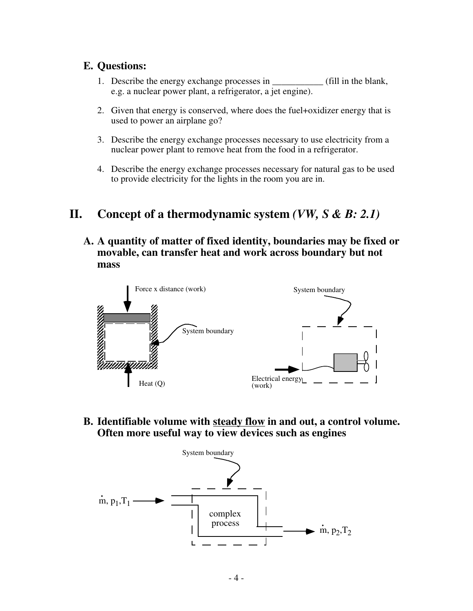### **E. Questions:**

- 1. Describe the energy exchange processes in  $\qquad$  (fill in the blank, e.g. a nuclear power plant, a refrigerator, a jet engine).
- 2. Given that energy is conserved, where does the fuel+oxidizer energy that is used to power an airplane go?
- 3. Describe the energy exchange processes necessary to use electricity from a nuclear power plant to remove heat from the food in a refrigerator.
- 4. Describe the energy exchange processes necessary for natural gas to be used to provide electricity for the lights in the room you are in.

## **II. Concept of a thermodynamic system** *(VW, S & B: 2.1)*

**A. A quantity of matter of fixed identity, boundaries may be fixed or movable, can transfer heat and work across boundary but not mass**



**B. Identifiable volume with steady flow in and out, a control volume. Often more useful way to view devices such as engines**

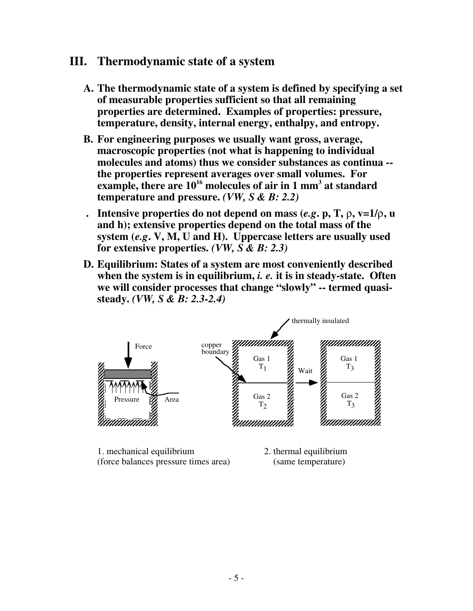## **III. Thermodynamic state of a system**

- **A. The thermodynamic state of a system is defined by specifying a set of measurable properties sufficient so that all remaining properties are determined. Examples of properties: pressure, temperature, density, internal energy, enthalpy, and entropy.**
- **B. For engineering purposes we usually want gross, average, macroscopic properties (not what is happening to individual molecules and atoms) thus we consider substances as continua - the properties represent averages over small volumes. For** example, there are 10<sup>16</sup> molecules of air in 1 mm<sup>3</sup> at standard **temperature and pressure.** *(VW, S & B: 2.2)*
- **. Intensive properties do not depend on mass**  $(e.g., p, T, \rho, v=1/\rho, u)$ **and h); extensive properties depend on the total mass of the system (***e.g***. V, M, U and H). Uppercase letters are usually used for extensive properties.** *(VW, S & B: 2.3)*
- **D. Equilibrium: States of a system are most conveniently described when the system is in equilibrium,** *i. e.* **it is in steady-state. Often we will consider processes that change "slowly" -- termed quasisteady.** *(VW, S & B: 2.3-2.4)*



- 1. mechanical equilibrium 2. thermal equilibrium (force balances pressure times area) (same temperature)
-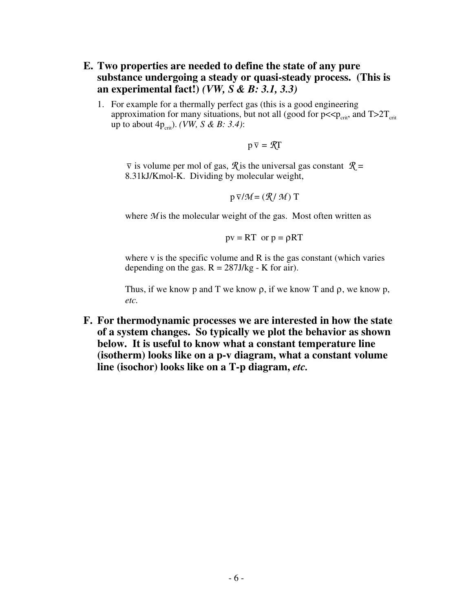- **E. Two properties are needed to define the state of any pure substance undergoing a steady or quasi-steady process. (This is an experimental fact!)** *(VW, S & B: 3.1, 3.3)*
	- 1. For example for a thermally perfect gas (this is a good engineering approximation for many situations, but not all (good for  $p \ll p_{\text{crit}}$ , and  $T > 2T_{\text{crit}}$ up to about  $4p_{\text{crit}}$ ). *(VW, S & B: 3.4)*:

$$
p\,\overline{v}=\mathcal{R}T
$$

 $\overline{v}$  is volume per mol of gas,  $\mathcal{R}$  is the universal gas constant  $\mathcal{R} =$ 8.31kJ/Kmol-K. Dividing by molecular weight,

$$
p\,\overline{v}/\mathcal{M} = (\mathcal{R}/\,\mathcal{M})\;T
$$

where *M* is the molecular weight of the gas. Most often written as

 $pv = RT$  or  $p = \rho RT$ 

where  $v$  is the specific volume and  $R$  is the gas constant (which varies depending on the gas.  $R = 287J/kg - K$  for air).

Thus, if we know p and T we know  $\rho$ , if we know T and  $\rho$ , we know p, *etc.*

**F. For thermodynamic processes we are interested in how the state of a system changes. So typically we plot the behavior as shown below. It is useful to know what a constant temperature line (isotherm) looks like on a p-v diagram, what a constant volume line (isochor) looks like on a T-p diagram,** *etc.*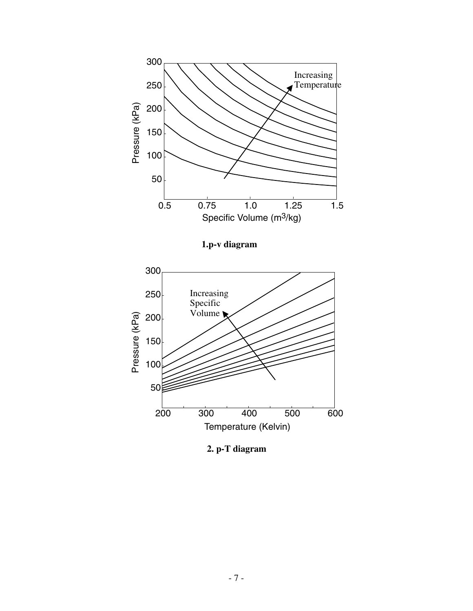

**1.p-v diagram**



**2. p-T diagram**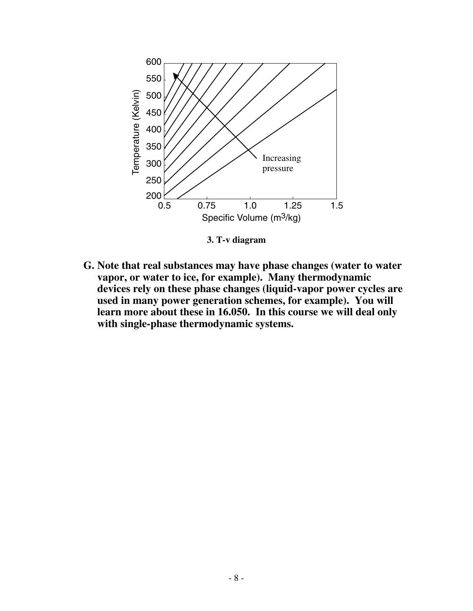

**3. T-v diagram**

**G. Note that real substances may have phase changes (water to water vapor, or water to ice, for example). Many thermodynamic devices rely on these phase changes (liquid-vapor power cycles are used in many power generation schemes, for example). You will learn more about these in 16.050. In this course we will deal only with single-phase thermodynamic systems.**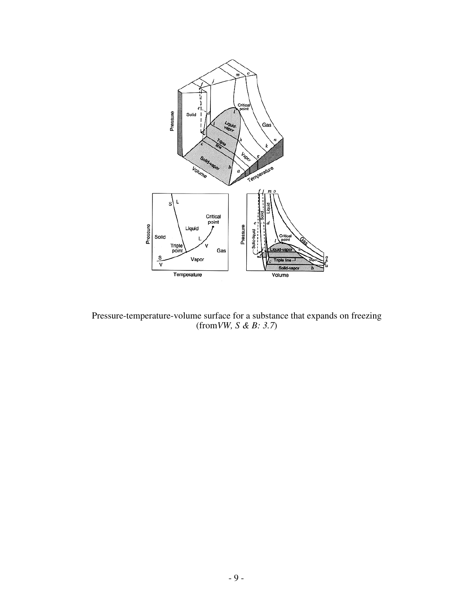

Pressure-temperature-volume surface for a substance that expands on freezing (from*VW, S & B: 3.7*)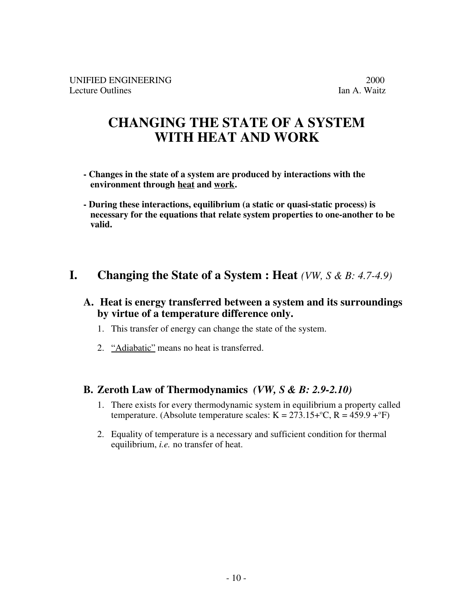UNIFIED ENGINEERING 2000<br>Lecture Outlines 1 and A. Waitz Lecture Outlines

# **CHANGING THE STATE OF A SYSTEM WITH HEAT AND WORK**

- **Changes in the state of a system are produced by interactions with the environment through heat and work .**
- **During these interactions, equilibrium (a static or quasi-static process) is necessary for the equations that relate system properties to one-another to be valid.**

## **I. Changing the State of a System : Heat** *(VW, S & B: 4.7-4.9)*

### **A. Heat is energy transferred between a system and its surroundings by virtue of a temperature difference only.**

- 1. This transfer of energy can change the state of the system.
- 2. "Adiabatic" means no heat is transferred.

### **B. Zeroth Law of Thermodynamics** *(VW, S & B: 2.9-2.10)*

- 1. There exists for every thermodynamic system in equilibrium a property called temperature. (Absolute temperature scales:  $K = 273.15 + C$ ,  $R = 459.9 + C$ )
- 2. Equality of temperature is a necessary and sufficient condition for thermal equilibrium, *i.e.* no transfer of heat.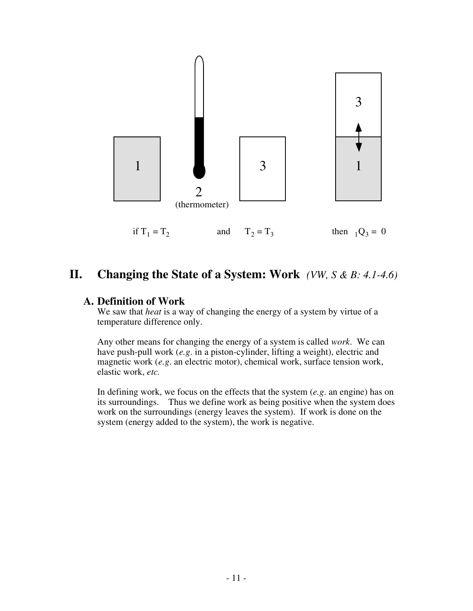

## **II. Changing the State of a System: Work** *(VW, S & B: 4.1-4.6)*

#### **A. Definition of Work**

We saw that *heat* is a way of changing the energy of a system by virtue of a temperature difference only.

Any other means for changing the energy of a system is called *work*. We can have push-pull work (*e.g*. in a piston-cylinder, lifting a weight), electric and magnetic work (*e.g*. an electric motor), chemical work, surface tension work, elastic work, *etc.*

In defining work, we focus on the effects that the system (*e.g*. an engine) has on its surroundings. Thus we define work as being positive when the system does work on the surroundings (energy leaves the system). If work is done on the system (energy added to the system), the work is negative.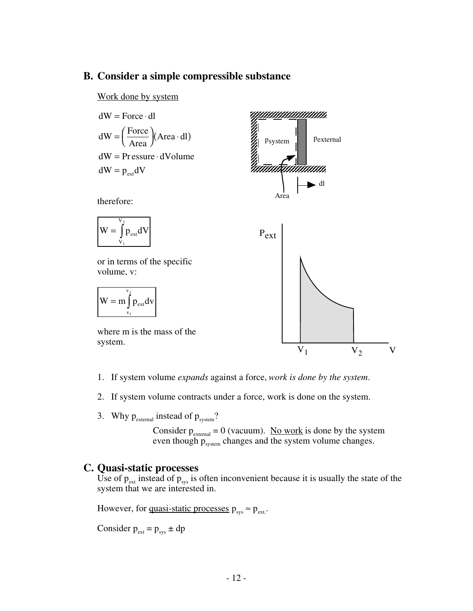### **B. Consider a simple compressible substance**

Work done by system

dW = Force · dl  
\ndW = 
$$
\left(\frac{\text{Force}}{\text{Area}}\right)
$$
 (Area · dl)  
\ndW = Pressure · dVolume  
\ndW = p<sub>ext</sub>dV  
\ntherefore:  
\nW =  $\int_{v_1}^{v_2} p_{ext} dV$ 

or in terms of the specific volume, v:

$$
W=m\displaystyle{\int\limits_{v_1}^{v_2}}p_{ext}dv
$$

where m is the mass of the system.

- 1. If system volume *expands* against a force, *work is done by the system*.
- 2. If system volume contracts under a force, work is done on the system.
- 3. Why  $p_{\text{external}}$  instead of  $p_{\text{system}}$ ?

Consider  $p_{\text{external}} = 0$  (vacuum). <u>No work</u> is done by the system even though  $p_{system}$  changes and the system volume changes.

### **C. Quasi-static processes**

Use of  $p_{\text{ext}}$  instead of  $p_{\text{sys}}$  is often inconvenient because it is usually the state of the system that we are interested in.

However, for <u>quasi-static processes</u>  $p_{sys} \approx p_{ext}$ .

Consider  $p_{ext} = p_{sys} \pm dp$ 

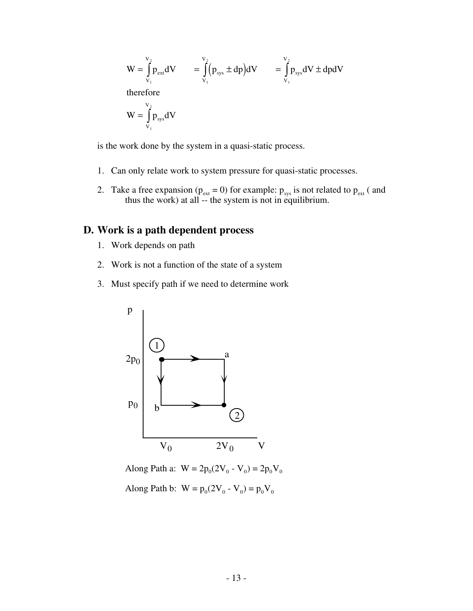$$
W = \int_{V_1}^{V_2} p_{ext} dV = \int_{V_1}^{V_2} (p_{sys} \pm dp) dV = \int_{V_1}^{V_2} p_{sys} dV \pm dp dV
$$
  
therefore  

$$
W = \int_{V_1}^{V_2} p_{sys} dV
$$

is the work done by the system in a quasi-static process.

- 1. Can only relate work to system pressure for quasi-static processes.
- 2. Take a free expansion ( $p_{ext} = 0$ ) for example:  $p_{sys}$  is not related to  $p_{ext}$  ( and thus the work) at all -- the system is not in equilibrium.

### **D. Work is a path dependent process**

- 1. Work depends on path
- 2. Work is not a function of the state of a system
- 3. Must specify path if we need to determine work



Along Path a:  $W = 2p_0(2V_0 - V_0) = 2p_0V_0$ Along Path b:  $W = p_0(2V_0 - V_0) = p_0V_0$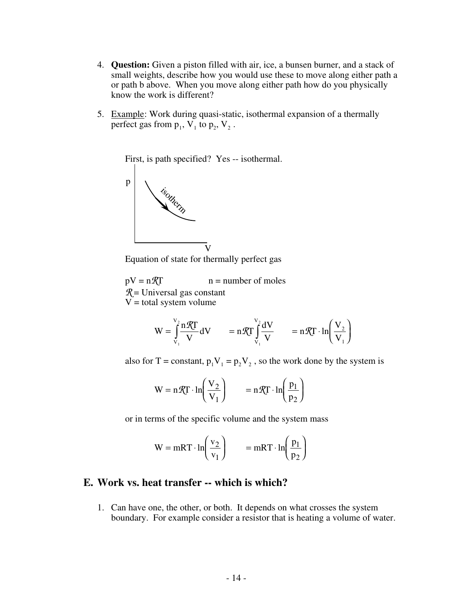- 4. **Question:** Given a piston filled with air, ice, a bunsen burner, and a stack of small weights, describe how you would use these to move along either path a or path b above. When you move along either path how do you physically know the work is different?
- 5. Example: Work during quasi-static, isothermal expansion of a thermally perfect gas from  $p_1$ ,  $V_1$  to  $p_2$ ,  $V_2$ .



Equation of state for thermally perfect gas

 $pV = n\mathcal{R}T$  n = number of moles *R* = Universal gas constant  $V =$  total system volume

$$
W = \int_{V_1}^{V_2} \frac{n\mathcal{R}T}{V} dV \qquad = n\mathcal{R}T \int_{V_1}^{V_2} \frac{dV}{V} \qquad = n\mathcal{R}T \cdot \ln\left(\frac{V_2}{V_1}\right)
$$

also for T = constant,  $p_1V_1 = p_2V_2$ , so the work done by the system is

$$
W = n\mathcal{R}T \cdot \ln\left(\frac{V_2}{V_1}\right) = n\mathcal{R}T \cdot \ln\left(\frac{p_1}{p_2}\right)
$$

or in terms of the specific volume and the system mass

$$
W = mRT \cdot ln\left(\frac{v_2}{v_1}\right) = mRT \cdot ln\left(\frac{p_1}{p_2}\right)
$$

#### **E. Work vs. heat transfer -- which is which?**

1. Can have one, the other, or both. It depends on what crosses the system boundary. For example consider a resistor that is heating a volume of water.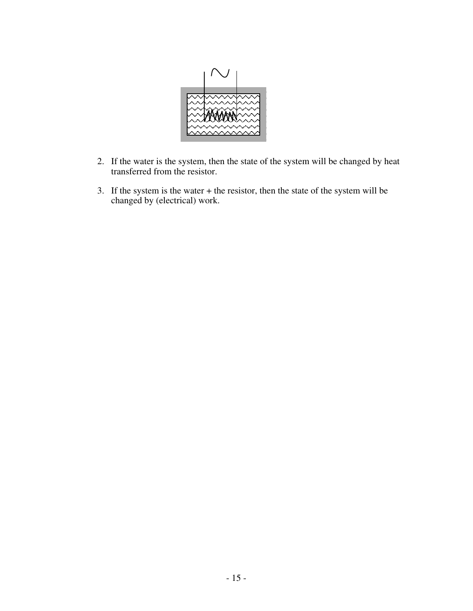

- 2. If the water is the system, then the state of the system will be changed by heat transferred from the resistor.
- 3. If the system is the water + the resistor, then the state of the system will be changed by (electrical) work.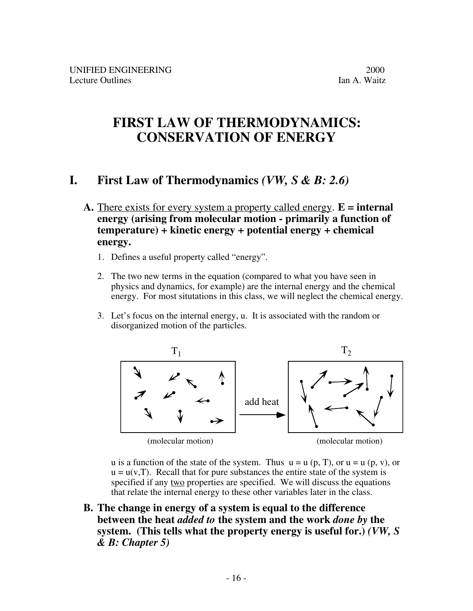# **FIRST LAW OF THERMODYNAMICS: CONSERVATION OF ENERGY**

## **I. First Law of Thermodynamics** *(VW, S & B: 2.6)*

- **A.** There exists for every system a property called energy . **E = internal energy (arising from molecular motion - primarily a function of temperature) + kinetic energy + potential energy + chemical energy.**
	- 1. Defines a useful property called "energy".
	- 2. The two new terms in the equation (compared to what you have seen in physics and dynamics, for example) are the internal energy and the chemical energy. For most situtations in this class, we will neglect the chemical energy.
	- 3. Let's focus on the internal energy, u. It is associated with the random or disorganized motion of the particles.



u is a function of the state of the system. Thus  $u = u (p, T)$ , or  $u = u (p, v)$ , or  $u = u(v,T)$ . Recall that for pure substances the entire state of the system is specified if any two properties are specified. We will discuss the equations that relate the internal energy to these other variables later in the class.

**B. The change in energy of a system is equal to the difference between the heat** *added to* **the system and the work** *done by* **the system. (This tells what the property energy is useful for.)** *(VW, S & B: Chapter 5)*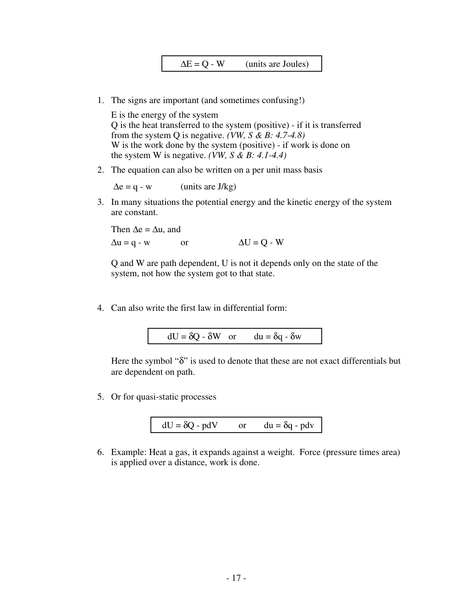1. The signs are important (and sometimes confusing!)

E is the energy of the system Q is the heat transferred to the system (positive) - if it is transferred from the system Q is negative. *(VW, S & B: 4.7-4.8)* W is the work done by the system (positive) - if work is done on the system W is negative. *(VW, S & B: 4.1-4.4)* 

2. The equation can also be written on a per unit mass basis

 $\Delta e = q - w$  (units are J/kg)

3. In many situations the potential energy and the kinetic energy of the system are constant.

Then  $\Delta e = \Delta u$ , and  $\Delta u = q - w$  or  $\Delta U = Q - W$ 

Q and W are path dependent, U is not it depends only on the state of the system, not how the system got to that state.

4. Can also write the first law in differential form:

$$
dU = \delta Q - \delta W \quad \text{or} \quad du = \delta q - \delta w
$$

Here the symbol "δ" is used to denote that these are not exact differentials but are dependent on path.

5. Or for quasi-static processes

$$
dU = \delta Q - pdV \qquad \text{or} \qquad du = \delta q - pdv
$$

6. Example: Heat a gas, it expands against a weight. Force (pressure times area) is applied over a distance, work is done.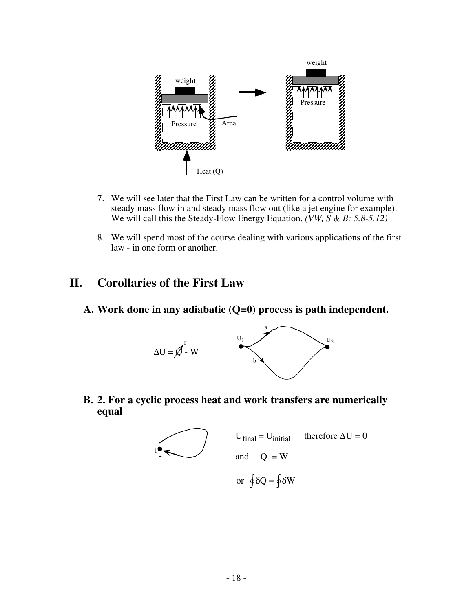

- 7. We will see later that the First Law can be written for a control volume with steady mass flow in and steady mass flow out (like a jet engine for example). We will call this the Steady-Flow Energy Equation. *(VW, S & B: 5.8-5.12)*
- 8. We will spend most of the course dealing with various applications of the first law - in one form or another.

## **II. Corollaries of the First Law**

**A. Work done in any adiabatic (Q=0) process is path independent.**



**B. 2. For a cyclic process heat and work transfers are numerically equal**

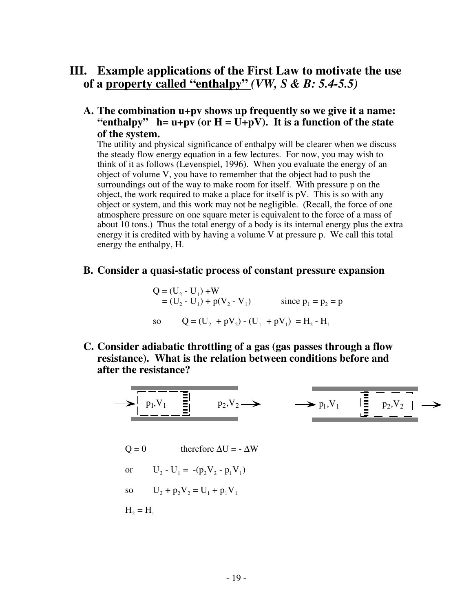## **III. Example applications of the First Law to motivate the use of a property called "enthalpy"** *(VW, S & B: 5.4-5.5)*

**A. The combination u+pv shows up frequently so we give it a name:** "enthalpy"  $h = u + pv$  (or  $H = \overline{U} + pV$ ). It is a function of the state **of the system.**

The utility and physical significance of enthalpy will be clearer when we discuss the steady flow energy equation in a few lectures. For now, you may wish to think of it as follows (Levenspiel, 1996). When you evaluate the energy of an object of volume V, you have to remember that the object had to push the surroundings out of the way to make room for itself. With pressure p on the object, the work required to make a place for itself is pV. This is so with any object or system, and this work may not be negligible. (Recall, the force of one atmosphere pressure on one square meter is equivalent to the force of a mass of about 10 tons.) Thus the total energy of a body is its internal energy plus the extra energy it is credited with by having a volume V at pressure p. We call this total energy the enthalpy, H.

#### **B. Consider a quasi-static process of constant pressure expansion**

Q = (U2 - U1) +W = (U2 - U1) + p(V2 - V1) since p1 = p2 = p so Q = (U2 + pV2) - (U1 + pV1) = H2 - H1

**C. Consider adiabatic throttling of a gas (gas passes through a flow resistance). What is the relation between conditions before and after the resistance?**

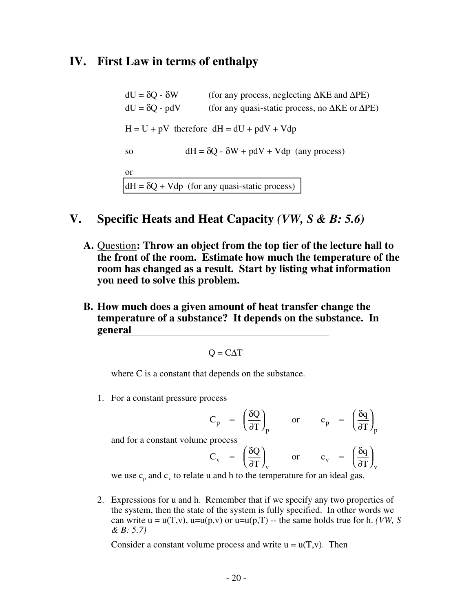## **IV. First Law in terms of enthalpy**

dU = δQ - δW (for any process, neglecting ∆KE and ∆PE)  $dU = \delta Q$  - pdV (for any quasi-static process, no  $\Delta KE$  or  $\Delta PE$ )  $H = U + pV$  therefore  $dH = dU + pdV + Vdp$ so  $dH = \delta Q - \delta W + pdV + Vdp$  (any process) or  $dH = \delta Q + Vdp$  (for any quasi-static process)

## **V. Specific Heats and Heat Capacity** *(VW, S & B: 5.6)*

- A. Question: Throw an object from the top tier of the lecture hall to **the front of the room. Estimate how much the temperature of the room has changed as a result. Start by listing what information you need to solve this problem.**
- **B. How much does a given amount of heat transfer change the temperature of a substance? It depends on the substance. In general**

$$
Q = C\Delta T
$$

where C is a constant that depends on the substance.

1. For a constant pressure process

$$
C_p = \left(\frac{\delta Q}{\partial T}\right)_p
$$
 or  $c_p = \left(\frac{\delta q}{\partial T}\right)_p$ 

and for a constant volume process

$$
C_v = \left(\frac{\delta Q}{\partial T}\right)_v
$$
 or  $c_v = \left(\frac{\delta q}{\partial T}\right)_v$ 

we use  $c_p$  and  $c_v$  to relate u and h to the temperature for an ideal gas.

2. Expressions for u and h. Remember that if we specify any two properties of the system, then the state of the system is fully specified. In other words we can write  $u = u(T,v)$ ,  $u=u(p,v)$  or  $u=u(p,T)$  -- the same holds true for h. *(VW, S*) *& B: 5.7)*

Consider a constant volume process and write  $u = u(T,v)$ . Then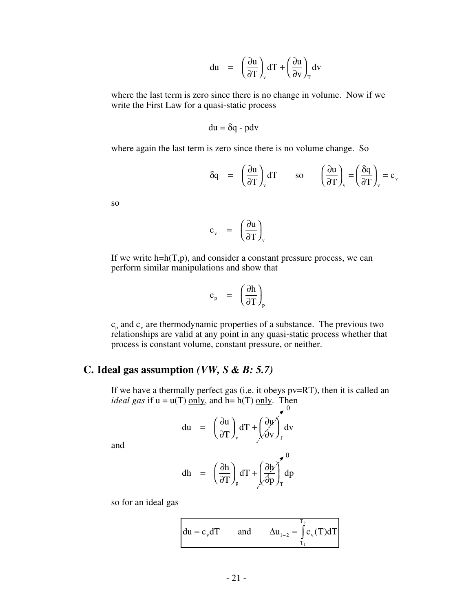$$
du = \left(\frac{\partial u}{\partial T}\right)_v dT + \left(\frac{\partial u}{\partial v}\right)_T dv
$$

where the last term is zero since there is no change in volume. Now if we write the First Law for a quasi-static process

$$
du = \delta q - pdv
$$

where again the last term is zero since there is no volume change. So

$$
\delta q = \left(\frac{\partial u}{\partial T}\right)_v dT \qquad \text{so} \qquad \left(\frac{\partial u}{\partial T}\right)_v = \left(\frac{\delta q}{\partial T}\right)_v = c_v
$$

so

$$
c_{v} = \left(\frac{\partial u}{\partial T}\right)_{v}
$$

If we write  $h=h(T,p)$ , and consider a constant pressure process, we can perform similar manipulations and show that

$$
c_{p} = \left(\frac{\partial h}{\partial T}\right)_{p}
$$

 $c_p$  and  $c_v$  are thermodynamic properties of a substance. The previous two relationships are valid at any point in any quasi-static process whether that process is constant volume, constant pressure, or neither.

### **C. Ideal gas assumption** *(VW, S & B: 5.7)*

If we have a thermally perfect gas (i.e. it obeys pv=RT), then it is called an *ideal gas* if  $u = u(T)$  only, and  $h = h(T)$  only. Then 0

$$
du = \left(\frac{\partial u}{\partial T}\right)_v dT + \left(\frac{\partial u}{\partial v}\right)_T dv
$$

and

$$
dh = \left(\frac{\partial h}{\partial T}\right)_p dT + \left(\frac{\partial h}{\partial p}\right)_T^0 dp
$$

so for an ideal gas

$$
du = c_v dT \qquad \text{and} \qquad \Delta u_{1-2} = \int_{T_1}^{T_2} c_v(T) dT
$$

 $\sim$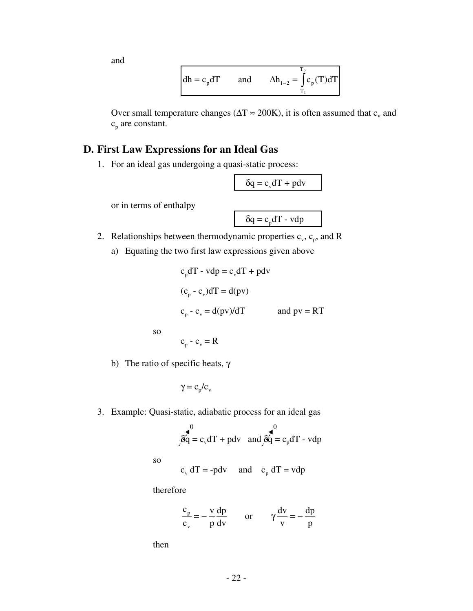and

$$
dh = c_p dT \qquad \text{and} \qquad \Delta h_{1-2} = \int_{T_1}^{T_2} c_p(T) dT
$$

Over small temperature changes ( $\Delta T \approx 200$ K), it is often assumed that c<sub>y</sub> and  $c_p$  are constant.

### **D. First Law Expressions for an Ideal Gas**

1. For an ideal gas undergoing a quasi-static process:

 $\delta q = c_v dT + p dv$ 

or in terms of enthalpy

 $\delta q = c_p dT - vdp$ 

- 2. Relationships between thermodynamic properties  $c_v$ ,  $c_p$ , and R
	- a) Equating the two first law expressions given above

$$
cp dT - vdp = cv dT + pdv
$$
  
(c<sub>p</sub> - c<sub>v</sub>) dT = d(pv)  
c<sub>p</sub> - c<sub>v</sub> = d(pv)/dT and pv = RT

so

 $c_p - c_v = R$ 

b) The ratio of specific heats,  $\gamma$ 

$$
\gamma = c_{\rm p}/c_{\rm v}
$$

3. Example: Quasi-static, adiabatic process for an ideal gas

$$
\hat{g}_q^0 = c_v dT + pdv \text{ and } \hat{g}_q^0 = c_p dT - vdp
$$

so

 $c_v dT = -p dv$  and  $c_p dT = vdp$ 

therefore

$$
\frac{c_p}{c_v} = -\frac{v}{p}\frac{dp}{dv} \qquad \text{or} \qquad \gamma \frac{dv}{v} = -\frac{dp}{p}
$$

then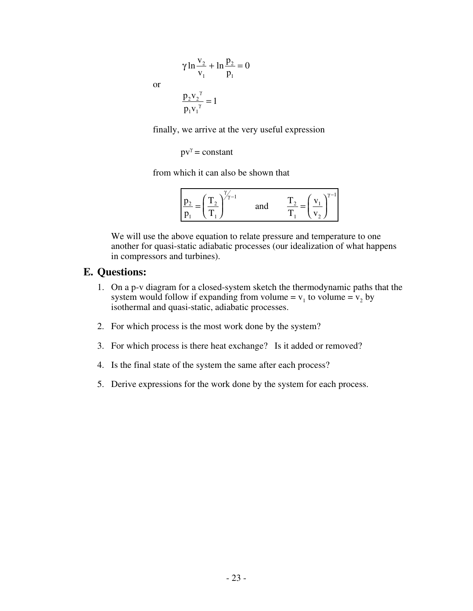$$
\gamma \ln \frac{v_2}{v_1} + \ln \frac{p_2}{p_1} = 0
$$
  

$$
\frac{p_2 v_2^{\gamma}}{p_2} = 1
$$

or

$$
\frac{p_2v_2^{\gamma}}{p_1v_1^{\gamma}} = 1
$$

finally, we arrive at the very useful expression

$$
pv^{\gamma} = constant
$$

from which it can also be shown that

| $\sim$<br>$^{\circ}$ 0.1<br>$\equiv$<br>$\mathbf{I}$<br>л<br>۰ | and<br> | <b>T</b><br>$\sim$<br><b>.</b><br>∸ |
|----------------------------------------------------------------|---------|-------------------------------------|
|----------------------------------------------------------------|---------|-------------------------------------|

We will use the above equation to relate pressure and temperature to one another for quasi-static adiabatic processes (our idealization of what happens in compressors and turbines).

#### **E. Questions:**

- 1. On a p-v diagram for a closed-system sketch the thermodynamic paths that the system would follow if expanding from volume =  $v_1$  to volume =  $v_2$  by isothermal and quasi-static, adiabatic processes.
- 2. For which process is the most work done by the system?
- 3. For which process is there heat exchange? Is it added or removed?
- 4. Is the final state of the system the same after each process?
- 5. Derive expressions for the work done by the system for each process.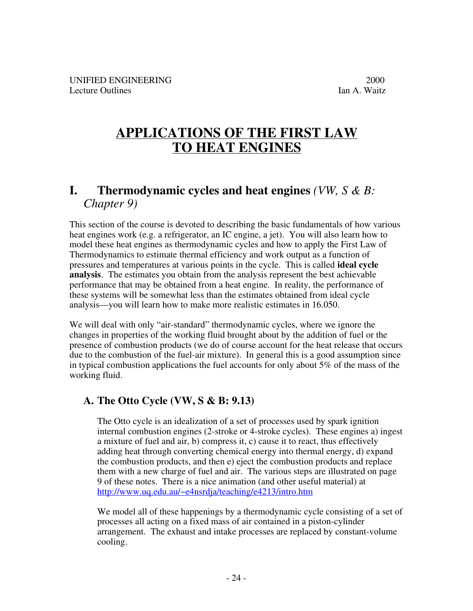# **APPLICATIONS OF THE FIRST LAW TO HEAT ENGINES**

## **I. Thermodynamic cycles and heat engines** *(VW, S & B: Chapter 9)*

This section of the course is devoted to describing the basic fundamentals of how various heat engines work (e.g. a refrigerator, an IC engine, a jet). You will also learn how to model these heat engines as thermodynamic cycles and how to apply the First Law of Thermodynamics to estimate thermal efficiency and work output as a function of pressures and temperatures at various points in the cycle. This is called **ideal cycle analysis**. The estimates you obtain from the analysis represent the best achievable performance that may be obtained from a heat engine. In reality, the performance of these systems will be somewhat less than the estimates obtained from ideal cycle analysis—you will learn how to make more realistic estimates in 16.050.

We will deal with only "air-standard" thermodynamic cycles, where we ignore the changes in properties of the working fluid brought about by the addition of fuel or the presence of combustion products (we do of course account for the heat release that occurs due to the combustion of the fuel-air mixture). In general this is a good assumption since in typical combustion applications the fuel accounts for only about 5% of the mass of the working fluid.

## **A. The Otto Cycle (VW, S & B: 9.13)**

The Otto cycle is an idealization of a set of processes used by spark ignition internal combustion engines (2-stroke or 4-stroke cycles). These engines a) ingest a mixture of fuel and air, b) compress it, c) cause it to react, thus effectively adding heat through converting chemical energy into thermal energy, d) expand the combustion products, and then e) eject the combustion products and replace them with a new charge of fuel and air. The various steps are illustrated on page 9 of these notes. There is a nice animation (and other useful material) at http://www.uq.edu.au/~e4nsrdja/teaching/e4213/intro.htm

We model all of these happenings by a thermodynamic cycle consisting of a set of processes all acting on a fixed mass of air contained in a piston-cylinder arrangement. The exhaust and intake processes are replaced by constant-volume cooling.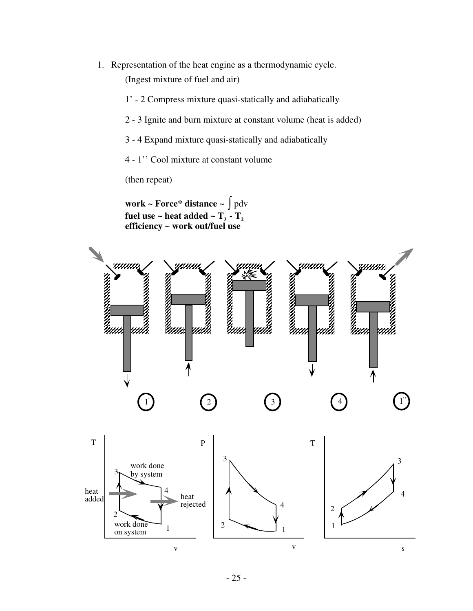- 1. Representation of the heat engine as a thermodynamic cycle. (Ingest mixture of fuel and air)
	- 1' 2 Compress mixture quasi-statically and adiabatically
	- 2 3 Ignite and burn mixture at constant volume (heat is added)
	- 3 4 Expand mixture quasi-statically and adiabatically
	- 4 1'' Cool mixture at constant volume

(then repeat)

**work ~ Force\* distance ~** ∫ pdv fuel use  $\sim$  heat added  $\sim$  T<sub>3</sub> - T<sub>2</sub> **efficiency ~ work out/fuel use**

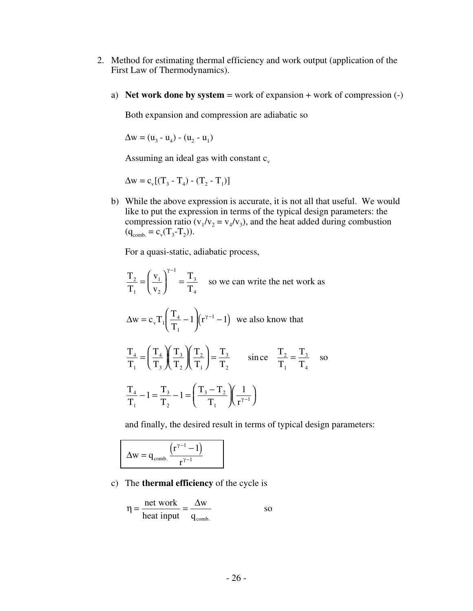- 2. Method for estimating thermal efficiency and work output (application of the First Law of Thermodynamics).
	- a) **Net work done by system** = work of expansion + work of compression (-)

Both expansion and compression are adiabatic so

 $\Delta w = (u_3 - u_4) - (u_2 - u_1)$ 

Assuming an ideal gas with constant  $c_v$ 

$$
\Delta w = c_{v} [(T_3 - T_4) - (T_2 - T_1)]
$$

b) While the above expression is accurate, it is not all that useful. We would like to put the expression in terms of the typical design parameters: the compression ratio ( $v_1/v_2 = v_4/v_3$ ), and the heat added during combustion  $(q_{comb.} = c_v(T_3-T_2)).$ 

For a quasi-static, adiabatic process,

$$
\frac{T_2}{T_1} = \left(\frac{v_1}{v_2}\right)^{\gamma - 1} = \frac{T_3}{T_4}
$$
 so we can write the net work as

$$
\Delta w = c_v T_1 \left( \frac{T_4}{T_1} - 1 \right) \left( r^{\gamma - 1} - 1 \right)
$$
 we also know that

$$
\frac{T_4}{T_1} = \left(\frac{T_4}{T_3}\right)\left(\frac{T_3}{T_2}\right)\left(\frac{T_2}{T_1}\right) = \frac{T_3}{T_2} \quad \text{since} \quad \frac{T_2}{T_1} = \frac{T_3}{T_4} \quad \text{so}
$$
\n
$$
\frac{T_4}{T_1} - 1 = \frac{T_3}{T_2} - 1 = \left(\frac{T_3 - T_2}{T_1}\right)\left(\frac{1}{r^{\gamma - 1}}\right)
$$

and finally, the desired result in terms of typical design parameters:

$$
\Delta w = q_{\text{comb.}} \frac{\left( r^{\gamma - 1} - 1 \right)}{r^{\gamma - 1}}
$$

 $T_{2}$ 

c) The **thermal efficiency** of the cycle is

$$
\eta = \frac{\text{net work}}{\text{heat input}} = \frac{\Delta w}{q_{\text{comb.}}} \quad \text{so}
$$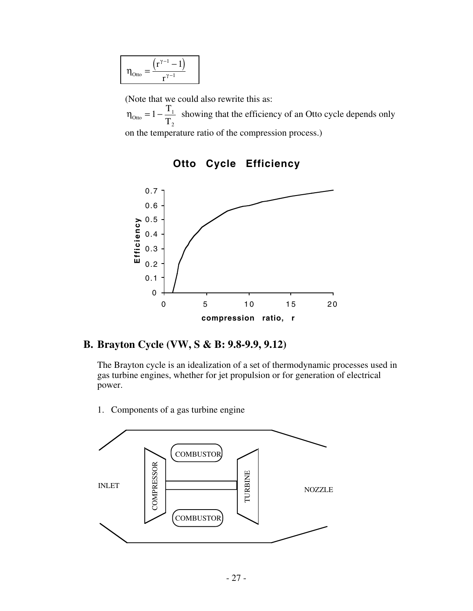$$
\eta_{\text{Otto}} = \frac{\left(r^{\gamma-1} - 1\right)}{r^{\gamma-1}}
$$

(Note that we could also rewrite this as:

 $\eta_{\text{Otto}} = 1 - \frac{T_1}{T_1}$  $T_{2}$  showing that the efficiency of an Otto cycle depends only on the temperature ratio of the compression process.)



**Otto Cycle Efficiency**

#### **B. Brayton Cycle (VW, S & B: 9.8-9.9, 9.12)**

The Brayton cycle is an idealization of a set of thermodynamic processes used in gas turbine engines, whether for jet propulsion or for generation of electrical power.

- **COMBUSTOR** COMPRESSOR COMPRESSOR **TURBINE** TURBINEINLET NOZZLE **COMBUSTOR**
- 1. Components of a gas turbine engine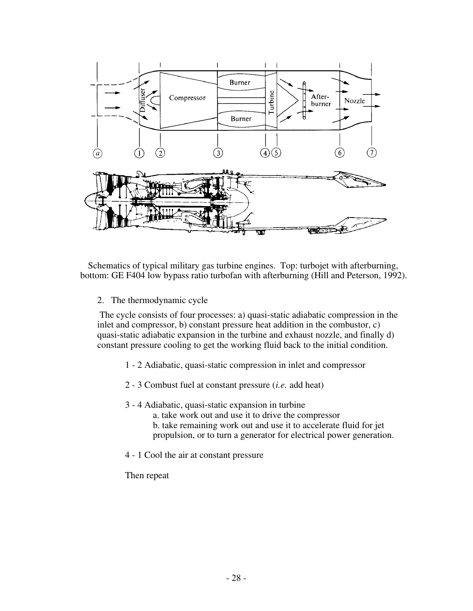

Schematics of typical military gas turbine engines. Top: turbojet with afterburning, bottom: GE F404 low bypass ratio turbofan with afterburning (Hill and Peterson, 1992).

2. The thermodynamic cycle

 The cycle consists of four processes: a) quasi-static adiabatic compression in the inlet and compressor, b) constant pressure heat addition in the combustor, c) quasi-static adiabatic expansion in the turbine and exhaust nozzle, and finally d) constant pressure cooling to get the working fluid back to the initial condition.

- 1 2 Adiabatic, quasi-static compression in inlet and compressor
- 2 3 Combust fuel at constant pressure (*i.e.* add heat)
- 3 4 Adiabatic, quasi-static expansion in turbine
	- a. take work out and use it to drive the compressor b. take remaining work out and use it to accelerate fluid for jet propulsion, or to turn a generator for electrical power generation.
- 4 1 Cool the air at constant pressure

Then repeat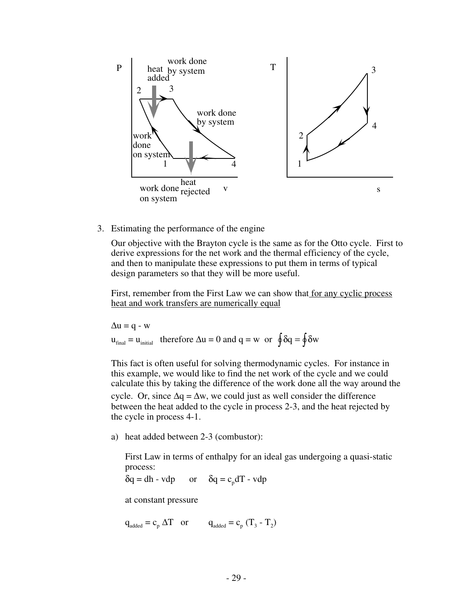

3. Estimating the performance of the engine

Our objective with the Brayton cycle is the same as for the Otto cycle. First to derive expressions for the net work and the thermal efficiency of the cycle, and then to manipulate these expressions to put them in terms of typical design parameters so that they will be more useful.

First, remember from the First Law we can show that for any cyclic process heat and work transfers are numerically equal

$$
\Delta u = q - w
$$
  
 
$$
u_{\text{final}} = u_{\text{initial}} \quad \text{therefore } \Delta u = 0 \text{ and } q = w \quad \text{or} \quad \oint \delta q = \oint \delta w
$$

This fact is often useful for solving thermodynamic cycles. For instance in this example, we would like to find the net work of the cycle and we could calculate this by taking the difference of the work done all the way around the cycle. Or, since  $\Delta q = \Delta w$ , we could just as well consider the difference between the heat added to the cycle in process 2-3, and the heat rejected by the cycle in process 4-1.

a) heat added between 2-3 (combustor):

First Law in terms of enthalpy for an ideal gas undergoing a quasi-static process:

 $\delta q = dh - vdp$  or  $\delta q = c_p dT - vdp$ 

at constant pressure

 $q_{added} = c_p \Delta T$  or  $q_{added} = c_p (T_3 - T_2)$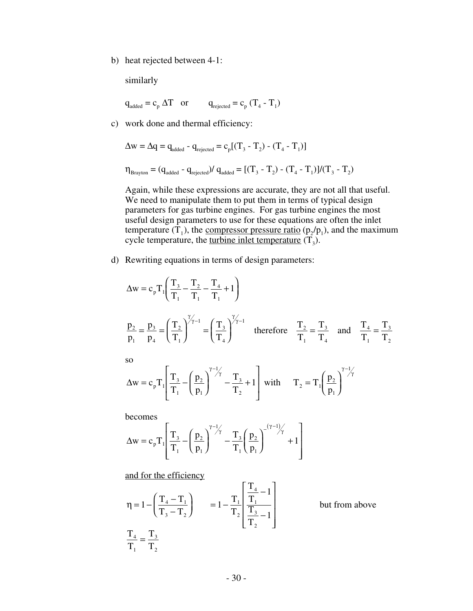b) heat rejected between 4-1:

similarly

$$
q_{added} = c_p \Delta T
$$
 or  $q_{rejected} = c_p (T_4 - T_1)$ 

c) work done and thermal efficiency:

$$
\Delta w = \Delta q = q_{\text{added}} - q_{\text{rejected}} = c_p [(T_3 - T_2) - (T_4 - T_1)]
$$

$$
\boldsymbol{\eta}_{\text{Brayton}} = (q_{\text{added}} - q_{\text{rejected}}) / \, q_{\text{added}} = [(T_{\text{3}} - T_{\text{2}}) - (T_{\text{4}} - T_{\text{1}})] / (T_{\text{3}} - T_{\text{2}})
$$

Again, while these expressions are accurate, they are not all that useful. We need to manipulate them to put them in terms of typical design parameters for gas turbine engines. For gas turbine engines the most useful design parameters to use for these equations are often the inlet temperature  $(T_1)$ , the compressor pressure ratio  $(p_2/p_1)$ , and the maximum cycle temperature, the <u>turbine inlet temperature</u>  $(T_3)$ .

d) Rewriting equations in terms of design parameters:

$$
\Delta w = c_p T_1 \left( \frac{T_3}{T_1} - \frac{T_2}{T_1} - \frac{T_4}{T_1} + 1 \right)
$$
  
\n
$$
\frac{p_2}{p_1} = \frac{p_3}{p_4} = \left( \frac{T_2}{T_1} \right)^{\frac{\gamma}{\gamma - 1}} = \left( \frac{T_3}{T_4} \right)^{\frac{\gamma}{\gamma - 1}}
$$
 therefore  $\frac{T_2}{T_1} = \frac{T_3}{T_4}$  and  $\frac{T_4}{T_1} = \frac{T_3}{T_2}$   
\nso  
\n
$$
\Delta w = c_p T_1 \left( \frac{T_3}{T_1} - \left( \frac{p_2}{p_1} \right)^{\frac{\gamma - 1}{\gamma}} - \frac{T_3}{T_2} + 1 \right)
$$
 with  $T_2 = T_1 \left( \frac{p_2}{p_1} \right)^{\frac{\gamma - 1}{\gamma}}$ 

J

becomes

$$
\Delta w = c_p T_1 \left[ \frac{T_3}{T_1} - \left( \frac{p_2}{p_1} \right)^{\gamma - 1/2} - \frac{T_3}{T_1} \left( \frac{p_2}{p_1} \right)^{-(\gamma - 1/2)} + 1 \right]
$$

and for the efficiency

L

$$
\eta = 1 - \left(\frac{T_4 - T_1}{T_3 - T_2}\right) = 1 - \frac{T_1}{T_2} \left[\frac{T_4}{\frac{T_1}{T_2}} - 1\right]
$$
 but from above  

$$
\frac{T_4}{T_1} = \frac{T_3}{T_2}
$$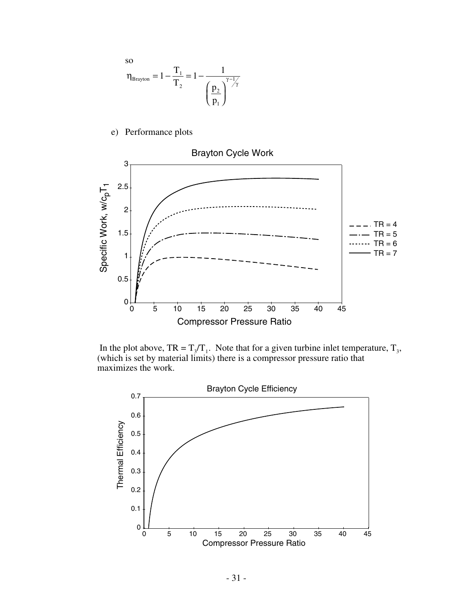

e) Performance plots



In the plot above,  $TR = T_3/T_1$ . Note that for a given turbine inlet temperature,  $T_3$ , (which is set by material limits) there is a compressor pressure ratio that maximizes the work.

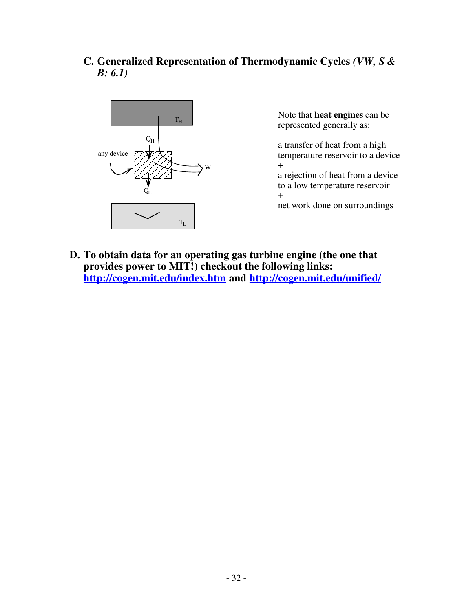**C. Generalized Representation of Thermodynamic Cycles** *(VW, S & B: 6.1)*



Note that **heat engines** can be represented generally as:

a transfer of heat from a high temperature reservoir to a device +

a rejection of heat from a device to a low temperature reservoir +

net work done on surroundings

**D. To obtain data for an operating gas turbine engine (the one that provides power to MIT!) checkout the following links: http://cogen.mit.edu/index.htm and http://cogen.mit.edu/unified/**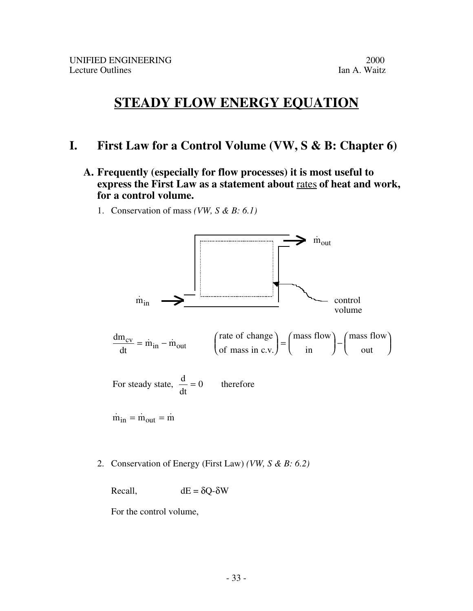# **STEADY FLOW ENERGY EQUATION**

## **I. First Law for a Control Volume (VW, S & B: Chapter 6)**

- **A. Frequently (especially for flow processes) it is most useful to express the First Law as a statement about** rates **of heat and work, for a control volume.** 
	- 1. Conservation of mass *(VW, S & B: 6.1)*



2. Conservation of Energy (First Law) *(VW, S & B: 6.2)*

Recall,  $dE = \delta Q - \delta W$ 

For the control volume,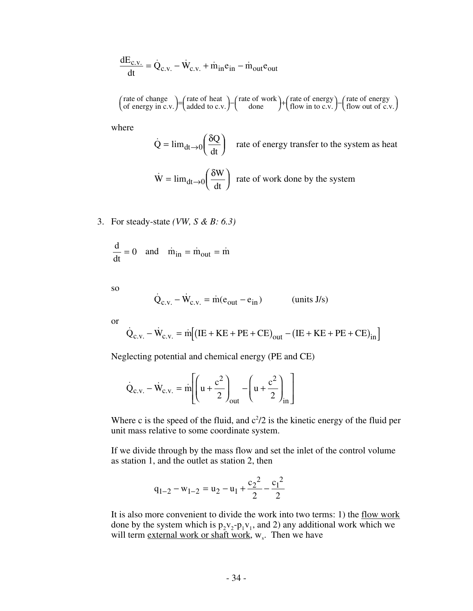$$
\frac{dE_{c.v.}}{dt} = \dot{Q}_{c.v.} - \dot{W}_{c.v.} + \dot{m}_{in}e_{in} - \dot{m}_{out}e_{out}
$$

rate of change of energy in c.v rate of heat added to c.v rate of work done rate of energy flow in to  $c.v$ rate of energy  $\mathcal{F}$  added to c.v.  $\mathcal{F}$  done  $\mathcal{F}'$  flow in to c.v.  $\mathcal{F}'$  flow out of c.v. (rate of change  $\begin{bmatrix} \text{rate of change} \\ \text{of energy in c.v.} \end{bmatrix} = \begin{pmatrix} \text{rate of heat} \\ \text{added to c.v.} \end{pmatrix} - \begin{pmatrix} \text{rate of work} \\ \text{done} \end{pmatrix} + \begin{pmatrix} \text{rate of energy} \\ \text{flow in to c.v.} \end{pmatrix} - \begin{pmatrix} \text{rate of energy} \\ \text{flow out of c.v.} \end{pmatrix}$ 

where

 $\dot{Q} = \lim_{dt \to 0} \left( \frac{\delta Q}{dt} \right)$  rate of energy transfer to the system as heat  $\dot{W} = \lim_{dt \to 0} \left( \frac{\delta W}{dt} \right)$  rate of work done by the system

3. For steady-state *(VW, S & B: 6.3)*

$$
\frac{d}{dt} = 0 \quad \text{and} \quad \dot{m}_{in} = \dot{m}_{out} = \dot{m}
$$

so  
\n
$$
\dot{Q}_{c.v.} - \dot{W}_{c.v.} = \dot{m}(e_{out} - e_{in})
$$
\n(units J/s)

or

$$
\dot{Q}_{c.v.} - \dot{W}_{c.v.} = \dot{m} \Big[ (IE + KE + PE + CE)_{out} - (IE + KE + PE + CE)_{in} \Big]
$$

Neglecting potential and chemical energy (PE and CE)

$$
\dot{Q}_{c.v.} - \dot{W}_{c.v.} = \dot{m} \left[ \left( u + \frac{c^2}{2} \right)_{out} - \left( u + \frac{c^2}{2} \right)_{in} \right]
$$

Where c is the speed of the fluid, and  $c^2/2$  is the kinetic energy of the fluid per unit mass relative to some coordinate system.

If we divide through by the mass flow and set the inlet of the control volume as station 1, and the outlet as station 2, then

$$
q_{1-2} - w_{1-2} = u_2 - u_1 + \frac{c_2^2}{2} - \frac{c_1^2}{2}
$$

It is also more convenient to divide the work into two terms: 1) the flow work done by the system which is  $p_2v_2-p_1v_1$ , and 2) any additional work which we will term external work or shaft work,  $w_s$ . Then we have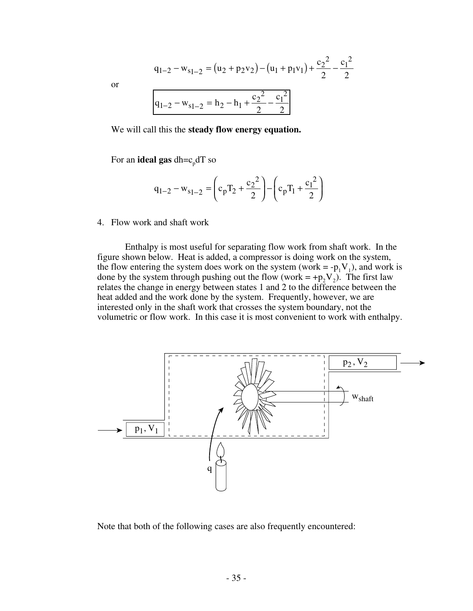$$
q_{1-2} - w_{s_1-2} = (u_2 + p_2v_2) - (u_1 + p_1v_1) + \frac{c_2^2}{2} - \frac{c_1^2}{2}
$$
  

$$
q_{1-2} - w_{s_1-2} = h_2 - h_1 + \frac{c_2^2}{2} - \frac{c_1^2}{2}
$$

or

| $q_{1-2} - w_{s_{1-2}} = h_2 - h_1$ . |  |
|---------------------------------------|--|

We will call this the **steady flow energy equation.**

For an **ideal gas** dh=c<sub>p</sub>dT so

$$
q_{1-2} - w_{s_1-2} = \left(c_p T_2 + \frac{c_2^2}{2}\right) - \left(c_p T_1 + \frac{c_1^2}{2}\right)
$$

4. Flow work and shaft work

Enthalpy is most useful for separating flow work from shaft work. In the figure shown below. Heat is added, a compressor is doing work on the system, the flow entering the system does work on the system (work =  $-p_1V_1$ ), and work is done by the system through pushing out the flow (work = +p<sub>2</sub>V<sub>2</sub>). The first law relates the change in energy between states 1 and 2 to the difference between the heat added and the work done by the system. Frequently, however, we are interested only in the shaft work that crosses the system boundary, not the volumetric or flow work. In this case it is most convenient to work with enthalpy.



Note that both of the following cases are also frequently encountered: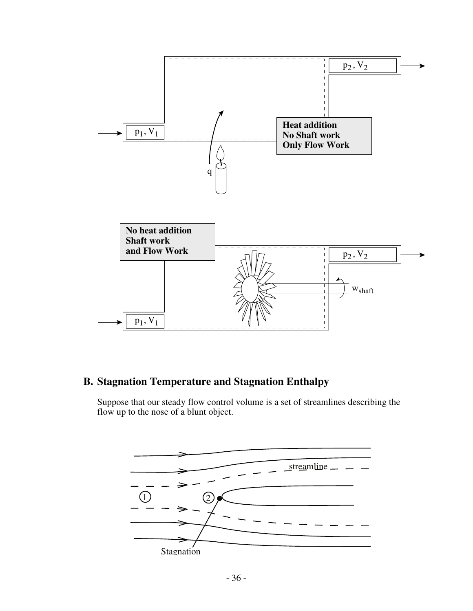

## **B. Stagnation Temperature and Stagnation Enthalpy**

Suppose that our steady flow control volume is a set of streamlines describing the flow up to the nose of a blunt object.

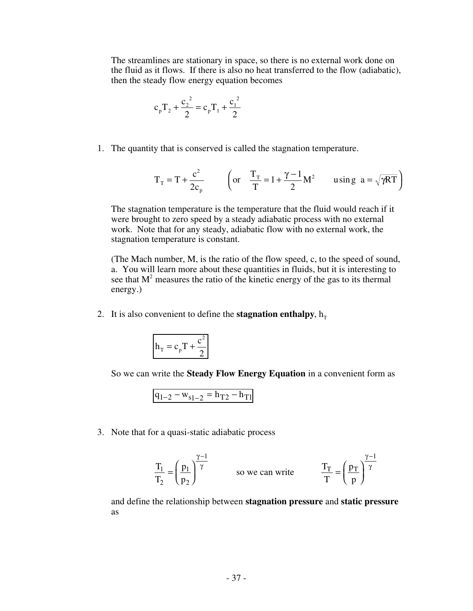The streamlines are stationary in space, so there is no external work done on the fluid as it flows. If there is also no heat transferred to the flow (adiabatic), then the steady flow energy equation becomes

$$
c_p T_2 + \frac{c_2^2}{2} = c_p T_1 + \frac{c_1^2}{2}
$$

1. The quantity that is conserved is called the stagnation temperature.

$$
T_T = T + \frac{c^2}{2c_p} \qquad \left( \text{or} \quad \frac{T_T}{T} = 1 + \frac{\gamma - 1}{2} M^2 \qquad \text{using } a = \sqrt{\gamma RT} \right)
$$

The stagnation temperature is the temperature that the fluid would reach if it were brought to zero speed by a steady adiabatic process with no external work. Note that for any steady, adiabatic flow with no external work, the stagnation temperature is constant.

(The Mach number, M, is the ratio of the flow speed, c, to the speed of sound, a. You will learn more about these quantities in fluids, but it is interesting to see that  $M<sup>2</sup>$  measures the ratio of the kinetic energy of the gas to its thermal energy.)

2. It is also convenient to define the **stagnation enthalpy**,  $h_T$ 

$$
h_T = c_p T + \frac{c^2}{2}
$$

So we can write the **Steady Flow Energy Equation** in a convenient form as

$$
q_{1-2} - w_{s_1-2} = h_{T2} - h_{T1}
$$

3. Note that for a quasi-static adiabatic process

$$
\frac{T_1}{T_2} = \left(\frac{p_1}{p_2}\right)^{\frac{\gamma - 1}{\gamma}}
$$
 so we can write 
$$
\frac{T_T}{T} = \left(\frac{p_T}{p}\right)^{\frac{\gamma - 1}{\gamma}}
$$

and define the relationship between **stagnation pressure** and **static pressure** as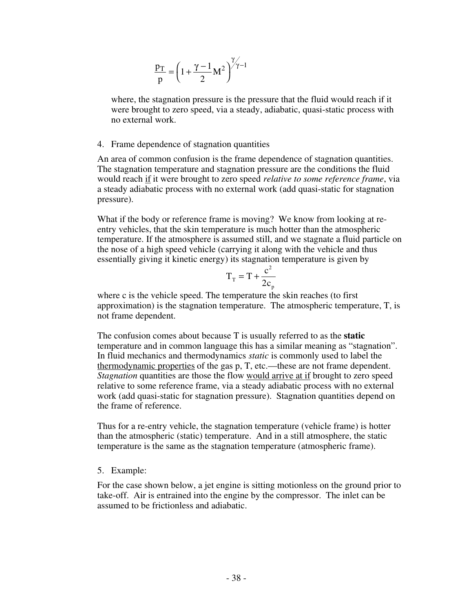$$
\frac{p_T}{p} = \left(1 + \frac{\gamma - 1}{2} M^2\right)^{\gamma \gamma - 1}
$$

where, the stagnation pressure is the pressure that the fluid would reach if it were brought to zero speed, via a steady, adiabatic, quasi-static process with no external work.

#### 4. Frame dependence of stagnation quantities

An area of common confusion is the frame dependence of stagnation quantities. The stagnation temperature and stagnation pressure are the conditions the fluid would reach if it were brought to zero speed *relative to some reference frame*, via a steady adiabatic process with no external work (add quasi-static for stagnation pressure).

What if the body or reference frame is moving? We know from looking at reentry vehicles, that the skin temperature is much hotter than the atmospheric temperature. If the atmosphere is assumed still, and we stagnate a fluid particle on the nose of a high speed vehicle (carrying it along with the vehicle and thus essentially giving it kinetic energy) its stagnation temperature is given by

$$
T_{\rm T} = T + \frac{c^2}{2c_{\rm p}}
$$

where c is the vehicle speed. The temperature the skin reaches (to first approximation) is the stagnation temperature. The atmospheric temperature, T, is not frame dependent.

The confusion comes about because T is usually referred to as the **static** temperature and in common language this has a similar meaning as "stagnation". In fluid mechanics and thermodynamics *static* is commonly used to label the thermodynamic properties of the gas p, T, etc.—these are not frame dependent. *Stagnation* quantities are those the flow would arrive at if brought to zero speed relative to some reference frame, via a steady adiabatic process with no external work (add quasi-static for stagnation pressure). Stagnation quantities depend on the frame of reference.

Thus for a re-entry vehicle, the stagnation temperature (vehicle frame) is hotter than the atmospheric (static) temperature. And in a still atmosphere, the static temperature is the same as the stagnation temperature (atmospheric frame).

#### 5. Example:

For the case shown below, a jet engine is sitting motionless on the ground prior to take-off. Air is entrained into the engine by the compressor. The inlet can be assumed to be frictionless and adiabatic.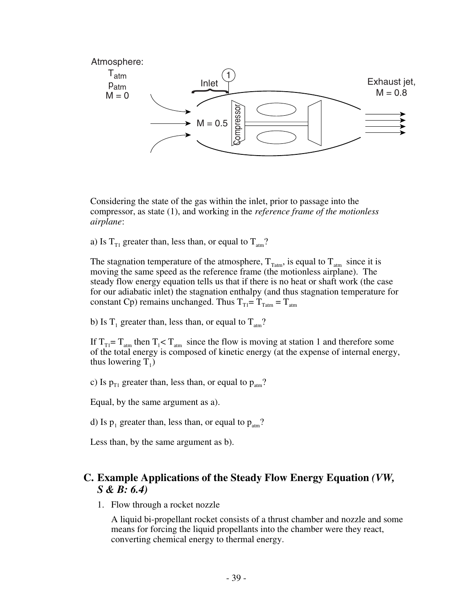

Considering the state of the gas within the inlet, prior to passage into the compressor, as state (1), and working in the *reference frame of the motionless airplane*:

a) Is  $T_{T1}$  greater than, less than, or equal to  $T_{arm}$ ?

The stagnation temperature of the atmosphere,  $T_{\text{Tatm}}$ , is equal to  $T_{\text{atm}}$  since it is moving the same speed as the reference frame (the motionless airplane). The steady flow energy equation tells us that if there is no heat or shaft work (the case for our adiabatic inlet) the stagnation enthalpy (and thus stagnation temperature for constant Cp) remains unchanged. Thus  $T_{T1} = T_{Tatm} = T_{atm}$ 

b) Is  $T_1$  greater than, less than, or equal to  $T_{arm}$ ?

If  $T_{T1} = T_{\text{atm}}$  then  $T_1 < T_{\text{atm}}$  since the flow is moving at station 1 and therefore some of the total energy is composed of kinetic energy (at the expense of internal energy, thus lowering  $T_1$ )

c) Is  $p_{T1}$  greater than, less than, or equal to  $p_{arm}$ ?

Equal, by the same argument as a).

d) Is  $p_1$  greater than, less than, or equal to  $p_{\text{atm}}$ ?

Less than, by the same argument as b).

### **C. Example Applications of the Steady Flow Energy Equation** *(VW, S & B: 6.4)*

1. Flow through a rocket nozzle

A liquid bi-propellant rocket consists of a thrust chamber and nozzle and some means for forcing the liquid propellants into the chamber were they react, converting chemical energy to thermal energy.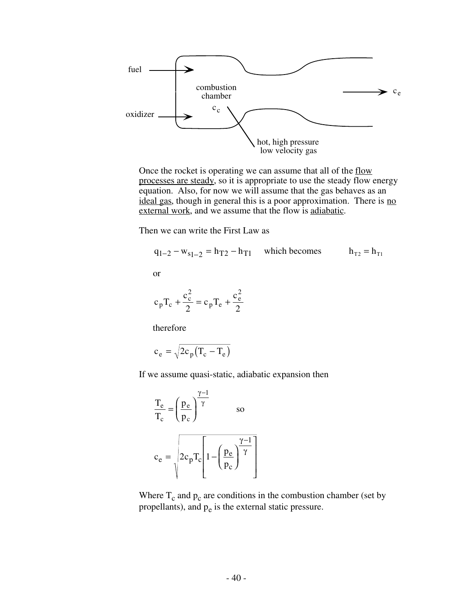

Once the rocket is operating we can assume that all of the flow processes are steady, so it is appropriate to use the steady flow energy equation. Also, for now we will assume that the gas behaves as an ideal gas, though in general this is a poor approximation. There is no external work, and we assume that the flow is adiabatic.

Then we can write the First Law as

$$
q_{1-2} - w_{s_1-2} = h_{T2} - h_{T1}
$$
 which becomes  $h_{T2} = h_{T1}$   
or

$$
c_p T_c + \frac{c_c^2}{2} = c_p T_e + \frac{c_e^2}{2}
$$

therefore

$$
c_e = \sqrt{2c_p (T_c - T_e)}
$$

If we assume quasi-static, adiabatic expansion then

$$
\frac{T_e}{T_c} = \left(\frac{p_e}{p_c}\right)^{\frac{\gamma - 1}{\gamma}}
$$
 so  

$$
c_e = \sqrt{2c_p T_c \left[1 - \left(\frac{p_e}{p_c}\right)^{\frac{\gamma - 1}{\gamma}}\right]}
$$

Where  $T_c$  and  $p_c$  are conditions in the combustion chamber (set by propellants), and  $p_e$  is the external static pressure.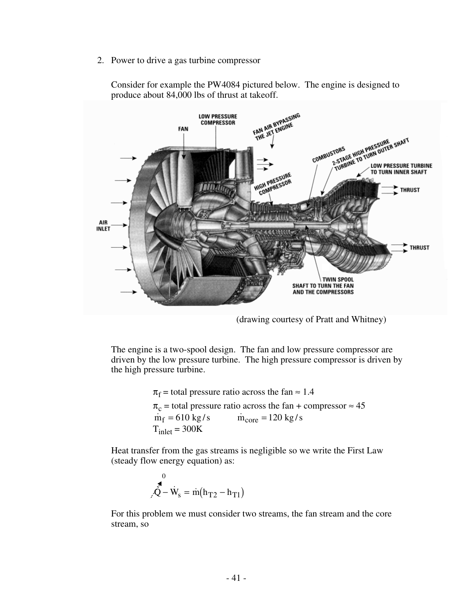2. Power to drive a gas turbine compressor



Consider for example the PW4084 pictured below. The engine is designed to produce about 84,000 lbs of thrust at takeoff.

(drawing courtesy of Pratt and Whitney)

The engine is a two-spool design. The fan and low pressure compressor are driven by the low pressure turbine. The high pressure compressor is driven by the high pressure turbine.

> $\pi_f$  = total pressure ratio across the fan  $\approx 1.4$  $\pi_c$  = total pressure ratio across the fan + compressor  $\approx 45$ <br>  $\dot{m}_f = 610 \text{ kg/s}$   $\dot{m}_{core} = 120 \text{ kg/s}$  $\dot{m}_{core} = 120 \text{ kg/s}$  $T_{inlet} = 300K$

Heat transfer from the gas streams is negligible so we write the First Law (steady flow energy equation) as:

$$
\smallint\limits_{\mathcal{F}}^{0} \dot{\hat{\mathbf{W}}_s} = \dot{m} \big( h_{T2} - h_{T1} \big)
$$

For this problem we must consider two streams, the fan stream and the core stream, so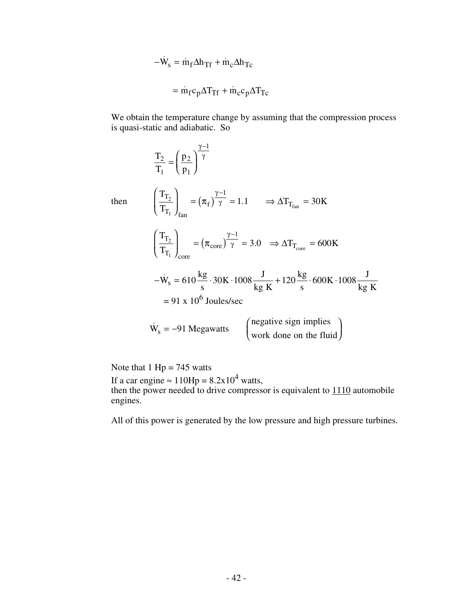$$
-\dot{W}_s = \dot{m}_f \Delta h_{Tf} + \dot{m}_c \Delta h_{Tc}
$$

$$
= \dot{m}_f c_p \Delta T_{Tf} + \dot{m}_c c_p \Delta T_{Tc}
$$

We obtain the temperature change by assuming that the compression process is quasi-static and adiabatic. So

$$
\frac{T_2}{T_1} = \left(\frac{p_2}{p_1}\right)^{\frac{\gamma-1}{\gamma}}
$$
  
then 
$$
\left(\frac{T_{T_2}}{T_{T_1}}\right)_{\text{fan}} = \left(\pi_f\right)^{\frac{\gamma-1}{\gamma}} = 1.1 \implies \Delta T_{T_{\text{fan}}} = 30 \text{ K}
$$

$$
\left(\frac{T_{T_2}}{T_{T_1}}\right)_{\text{core}} = \left(\pi_{\text{core}}\right)^{\frac{\gamma-1}{\gamma}} = 3.0 \implies \Delta T_{T_{\text{core}}} = 600 \text{ K}
$$

$$
-\dot{W}_s = 610 \frac{\text{kg}}{\text{s}} \cdot 30 \text{ K} \cdot 1008 \frac{\text{J}}{\text{kg K}} + 120 \frac{\text{kg}}{\text{s}} \cdot 600 \text{ K} \cdot 1008 \frac{\text{J}}{\text{kg K}}
$$

$$
= 91 \times 10^6 \text{ Joules/sec}
$$

$$
\dot{W}_s = -91 \text{ Megawatts} \qquad \left(\text{negative sign implies} \atop \text{work done on the fluid}\right)
$$

Note that  $1$  Hp = 745 watts

then

If a car engine  $\approx 110Hp = 8.2x10^4$  watts, then the power needed to drive compressor is equivalent to  $1110$  automobile engines.

All of this power is generated by the low pressure and high pressure turbines.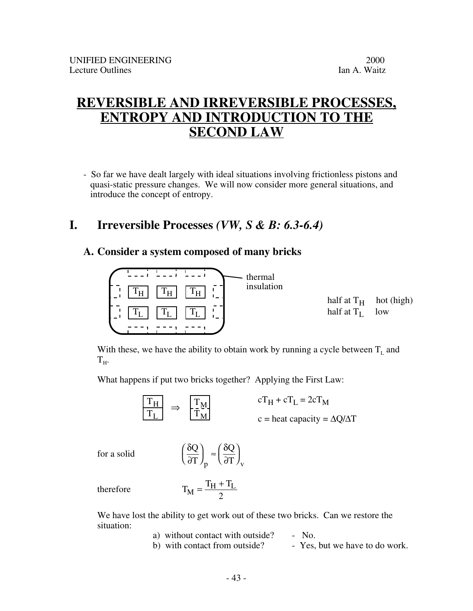# **REVERSIBLE AND IRREVERSIBLE PROCESSES, ENTROPY AND INTRODUCTION TO THE SECOND LAW**

- So far we have dealt largely with ideal situations involving frictionless pistons and quasi-static pressure changes. We will now consider more general situations, and introduce the concept of entropy.

## **I. Irreversible Processes** *(VW, S & B: 6.3-6.4)*

### **A. Consider a system composed of many bricks**



With these, we have the ability to obtain work by running a cycle between  $T_L$  and  $T_{H}$ .

What happens if put two bricks together? Applying the First Law:



for a solid

∂ δ ∂ Q T Q  $_{\text{p}}$  ( $\partial$ T)<sub>v</sub>  $\int_{\mathbf{n}}$  $\lambda$  $\overline{\phantom{a}}$ 

therefore

$$
T_M = \frac{T_H + T_L}{2}
$$

ſ l

We have lost the ability to get work out of these two bricks. Can we restore the situation:

> a) without contact with outside? - No. b) with contact from outside? - Yes, but we have to do work.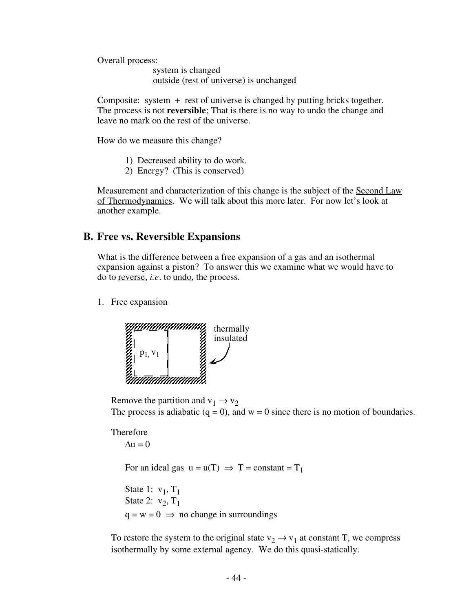Overall process:

system is changed outside (rest of universe) is unchanged

Composite: system + rest of universe is changed by putting bricks together. The process is not **reversible**; That is there is no way to undo the change and leave no mark on the rest of the universe.

How do we measure this change?

- 1) Decreased ability to do work.
- 2) Energy? (This is conserved)

Measurement and characterization of this change is the subject of the Second Law of Thermodynamics . We will talk about this more later. For now let's look at another example.

#### **B. Free vs. Reversible Expansions**

What is the difference between a free expansion of a gas and an isothermal expansion against a piston? To answer this we examine what we would have to do to reverse, *i.e.* to undo, the process.

1. Free expansion



Remove the partition and  $v_1 \rightarrow v_2$ The process is adiabatic  $(q = 0)$ , and  $w = 0$  since there is no motion of boundaries.

#### Therefore

 $\Delta u = 0$ 

For an ideal gas  $u = u(T) \implies T = constant = T_1$ 

State 1:  $v_1$ ,  $T_1$ State 2:  $v_2$ ,  $T_1$  $q = w = 0 \implies$  no change in surroundings

To restore the system to the original state  $v_2 \rightarrow v_1$  at constant T, we compress isothermally by some external agency. We do this quasi-statically.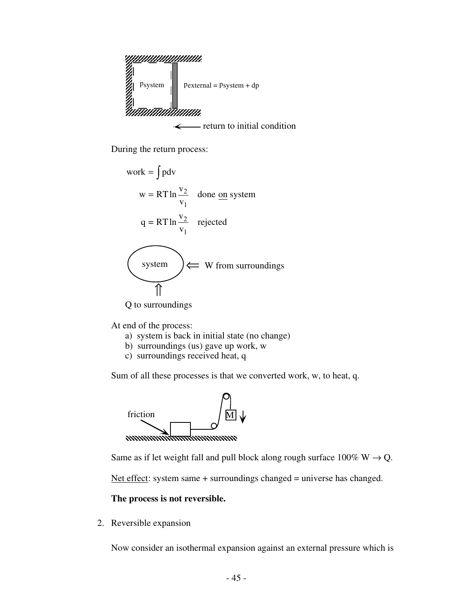

- return to initial condition  $\leftarrow$ 

During the return process:

work = 
$$
\int pdv
$$
  
\n $w = RT \ln \frac{v_2}{v_1}$  done on system  
\n $q = RT \ln \frac{v_2}{v_1}$  rejected  
\n(system)  $\leftarrow$  W from surroundings

At end of the process:

- a) system is back in initial state (no change)
- b) surroundings (us) gave up work, w
- c) surroundings received heat, q

Sum of all these processes is that we converted work, w, to heat, q.



Same as if let weight fall and pull block along rough surface  $100\%$  W  $\rightarrow$  Q.

Net effect: system same  $+$  surroundings changed  $=$  universe has changed.

**The process is not reversible.**

2. Reversible expansion

Now consider an isothermal expansion against an external pressure which is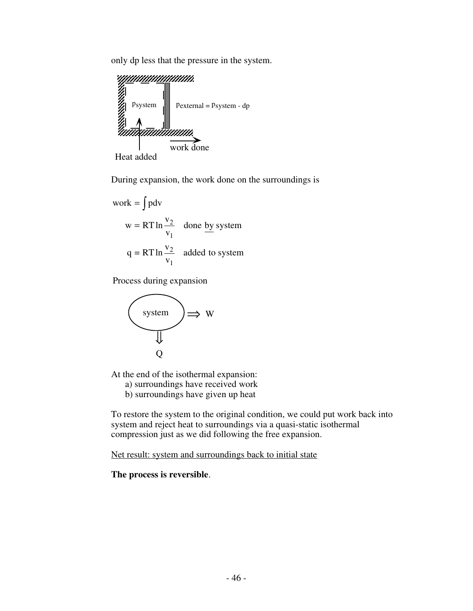only dp less that the pressure in the system.



Heat added

During expansion, the work done on the surroundings is

work = 
$$
\int pdv
$$
  
\n $w = RT \ln \frac{v_2}{v_1}$  done by system  
\n $q = RT \ln \frac{v_2}{v_1}$  added to system

Process during expansion



At the end of the isothermal expansion:

a) surroundings have received work

b) surroundings have given up heat

To restore the system to the original condition, we could put work back into system and reject heat to surroundings via a quasi-static isothermal compression just as we did following the free expansion.

Net result: system and surroundings back to initial state

**The process is reversible**.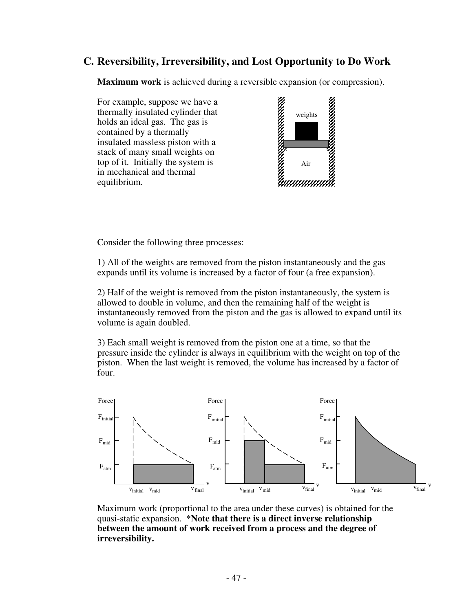## **C. Reversibility, Irreversibility, and Lost Opportunity to Do Work**

**Maximum work** is achieved during a reversible expansion (or compression).

For example, suppose we have a thermally insulated cylinder that holds an ideal gas. The gas is contained by a thermally insulated massless piston with a stack of many small weights on top of it. Initially the system is in mechanical and thermal equilibrium.



Consider the following three processes:

1) All of the weights are removed from the piston instantaneously and the gas expands until its volume is increased by a factor of four (a free expansion).

2) Half of the weight is removed from the piston instantaneously, the system is allowed to double in volume, and then the remaining half of the weight is instantaneously removed from the piston and the gas is allowed to expand until its volume is again doubled.

3) Each small weight is removed from the piston one at a time, so that the pressure inside the cylinder is always in equilibrium with the weight on top of the piston. When the last weight is removed, the volume has increased by a factor of four.



Maximum work (proportional to the area under these curves) is obtained for the quasi-static expansion. \***Note that there is a direct inverse relationship between the amount of work received from a process and the degree of irreversibility.**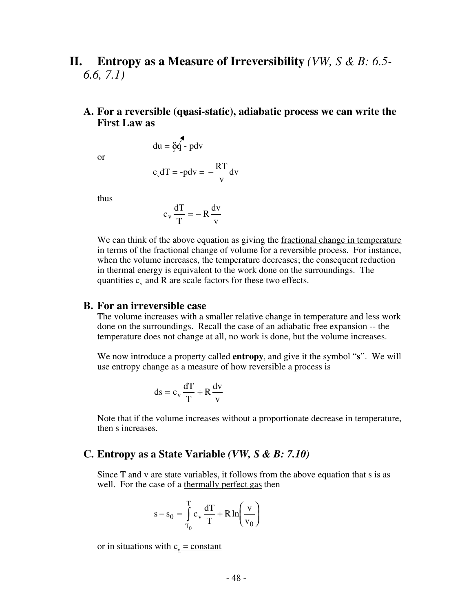## **II. Entropy as a Measure of Irreversibility** *(VW, S & B: 6.5- 6.6, 7.1)*

#### **A. For a reversible (quasi-static), adiabatic process we can write the** 0**First Law as**

or

$$
c_v dT = -p dv = -\frac{RT}{v} dv
$$

 $du = \delta \hat{q} - pdv$ 

thus

$$
c_v \frac{dT}{T} = -R \frac{dv}{v}
$$

We can think of the above equation as giving the fractional change in temperature in terms of the fractional change of volume for a reversible process. For instance, when the volume increases, the temperature decreases; the consequent reduction in thermal energy is equivalent to the work done on the surroundings. The quantities  $c_v$  and R are scale factors for these two effects.

#### **B. For an irreversible case**

The volume increases with a smaller relative change in temperature and less work done on the surroundings. Recall the case of an adiabatic free expansion -- the temperature does not change at all, no work is done, but the volume increases.

We now introduce a property called **entropy**, and give it the symbol "**s**". We will use entropy change as a measure of how reversible a process is

$$
ds = c_v \frac{dT}{T} + R \frac{dv}{v}
$$

Note that if the volume increases without a proportionate decrease in temperature, then s increases.

#### **C. Entropy as a State Variable** *(VW, S & B: 7.10)*

Since T and v are state variables, it follows from the above equation that s is as well. For the case of a thermally perfect gas then

$$
s - s_0 = \int_{T_0}^{T} c_v \frac{dT}{T} + R \ln\left(\frac{v}{v_0}\right)
$$

or in situations with  $c_v$  = constant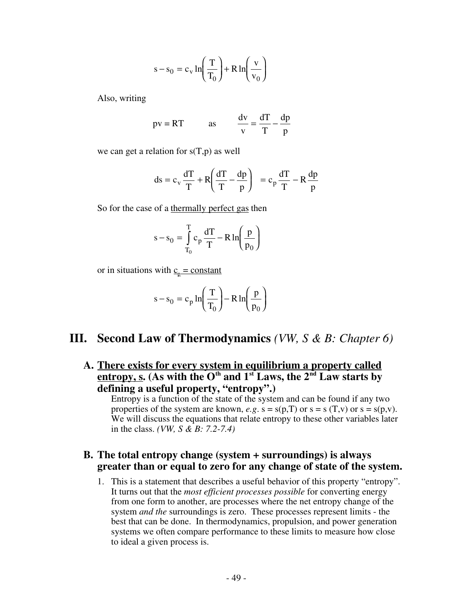$$
s - s_0 = c_v \ln\left(\frac{T}{T_0}\right) + R \ln\left(\frac{v}{v_0}\right)
$$

Also, writing

$$
pv = RT
$$
 as  $\frac{dv}{v} = \frac{dT}{T} - \frac{dp}{p}$ 

we can get a relation for  $s(T,p)$  as well

$$
ds = c_v \frac{dT}{T} + R \left( \frac{dT}{T} - \frac{dp}{p} \right) = c_p \frac{dT}{T} - R \frac{dp}{p}
$$

So for the case of a thermally perfect gas then

$$
s - s_0 = \int_{T_0}^{T} c_p \frac{dT}{T} - R \ln\left(\frac{p}{p_0}\right)
$$

or in situations with  $c_p$  = constant

$$
s - s_0 = c_p \ln\left(\frac{T}{T_0}\right) - R \ln\left(\frac{p}{p_0}\right)
$$

### **III. Second Law of Thermodynamics** *(VW, S & B: Chapter 6)*

**A. There exists for every system in equilibrium a property called entropy, s.** (As with the  $O<sup>th</sup>$  and  $1<sup>st</sup>$  Laws, the  $2<sup>nd</sup>$  Law starts by **defining a useful property, "entropy".)**

Entropy is a function of the state of the system and can be found if any two properties of the system are known,  $e.g. s = s(p,T)$  or  $s = s(T,v)$  or  $s = s(p,v)$ . We will discuss the equations that relate entropy to these other variables later in the class. *(VW, S & B: 7.2-7.4)*

#### **B. The total entropy change (system + surroundings) is always greater than or equal to zero for any change of state of the system.**

1. This is a statement that describes a useful behavior of this property "entropy". It turns out that the *most efficient processes possible* for converting energy from one form to another, are processes where the net entropy change of the system *and the* surroundings is zero. These processes represent limits - the best that can be done. In thermodynamics, propulsion, and power generation systems we often compare performance to these limits to measure how close to ideal a given process is.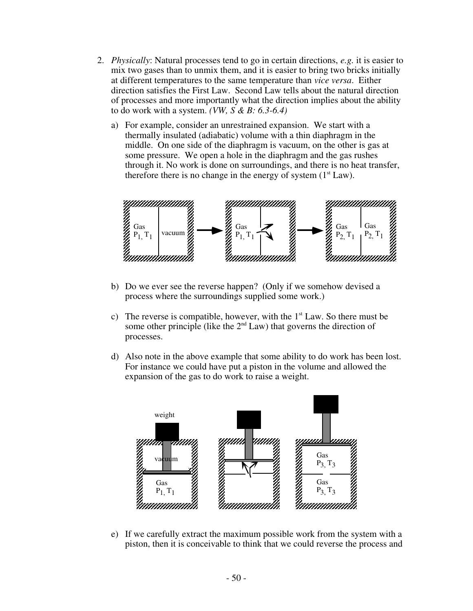- 2. *Physically*: Natural processes tend to go in certain directions, *e.g.* it is easier to mix two gases than to unmix them, and it is easier to bring two bricks initially at different temperatures to the same temperature than *vice versa*. Either direction satisfies the First Law. Second Law tells about the natural direction of processes and more importantly what the direction implies about the ability to do work with a system. *(VW, S & B: 6.3-6.4)*
	- a) For example, consider an unrestrained expansion. We start with a thermally insulated (adiabatic) volume with a thin diaphragm in the middle. On one side of the diaphragm is vacuum, on the other is gas at some pressure. We open a hole in the diaphragm and the gas rushes through it. No work is done on surroundings, and there is no heat transfer, therefore there is no change in the energy of system  $(1<sup>st</sup> Law)$ .



- b) Do we ever see the reverse happen? (Only if we somehow devised a process where the surroundings supplied some work.)
- c) The reverse is compatible, however, with the  $1<sup>st</sup>$  Law. So there must be some other principle (like the  $2<sup>nd</sup> Law$ ) that governs the direction of processes.
- d) Also note in the above example that some ability to do work has been lost. For instance we could have put a piston in the volume and allowed the expansion of the gas to do work to raise a weight.



e) If we carefully extract the maximum possible work from the system with a piston, then it is conceivable to think that we could reverse the process and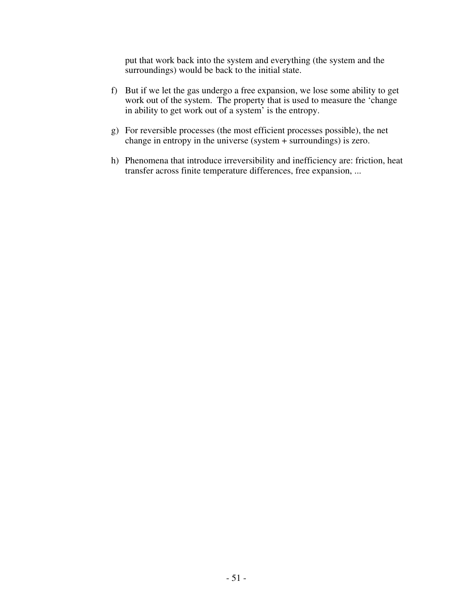put that work back into the system and everything (the system and the surroundings) would be back to the initial state.

- f) But if we let the gas undergo a free expansion, we lose some ability to get work out of the system. The property that is used to measure the 'change in ability to get work out of a system' is the entropy.
- g) For reversible processes (the most efficient processes possible), the net change in entropy in the universe (system + surroundings) is zero.
- h) Phenomena that introduce irreversibility and inefficiency are: friction, heat transfer across finite temperature differences, free expansion, ...